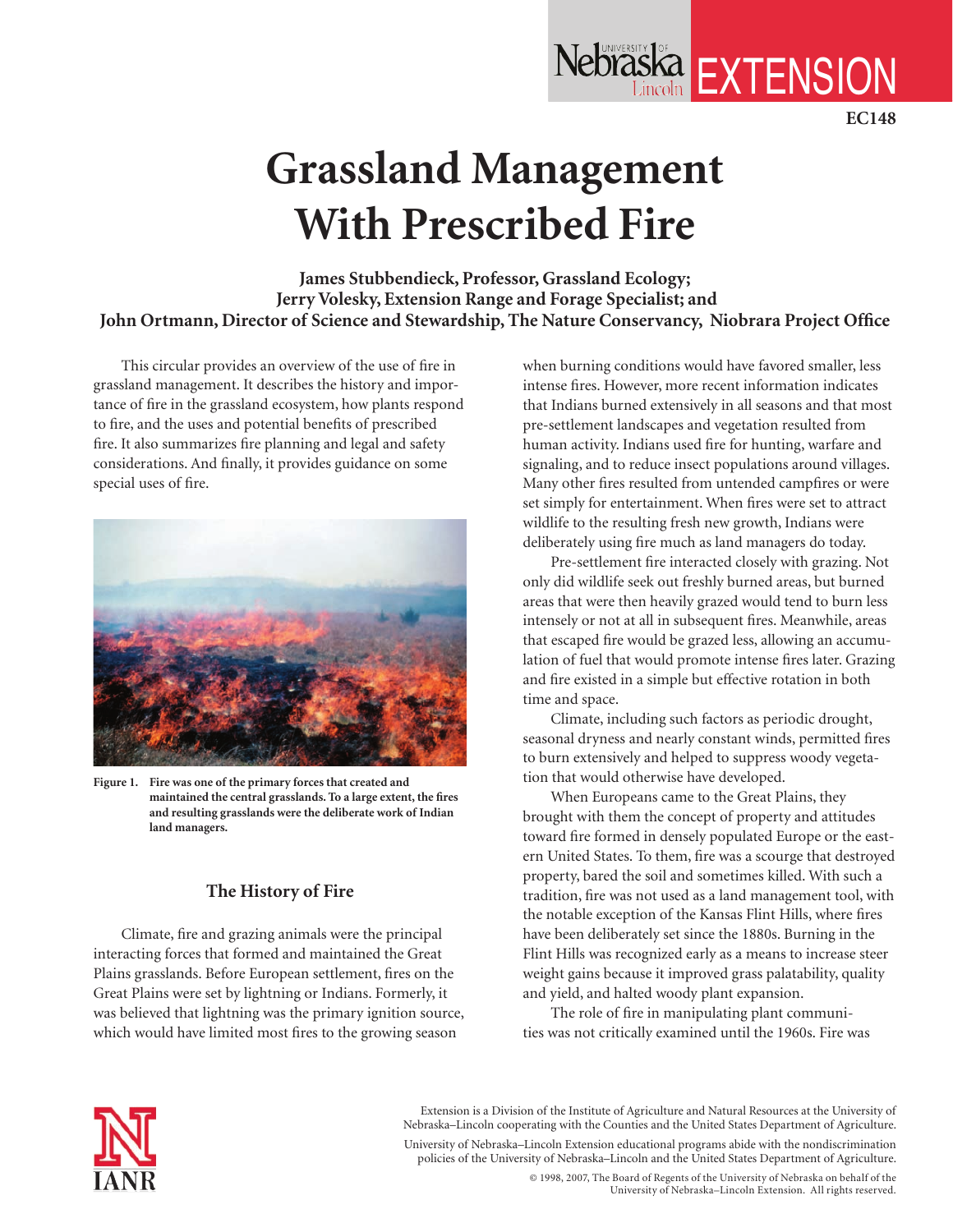# **Grassland Management With Prescribed Fire**

**James Stubbendieck, Professor, Grassland Ecology; Jerry Volesky, Extension Range and Forage Specialist; and John Ortmann, Director of Science and Stewardship, The Nature Conservancy, Niobrara Project Office**

This circular provides an overview of the use of fire in grassland management. It describes the history and importance of fire in the grassland ecosystem, how plants respond to fire, and the uses and potential benefits of prescribed fire. It also summarizes fire planning and legal and safety considerations. And finally, it provides guidance on some special uses of fire.



**Figure 1. Fire was one of the primary forces that created and maintained the central grasslands. To a large extent, the fires and resulting grasslands were the deliberate work of Indian land managers.**

# **The History of Fire**

Climate, fire and grazing animals were the principal interacting forces that formed and maintained the Great Plains grasslands. Before European settlement, fires on the Great Plains were set by lightning or Indians. Formerly, it was believed that lightning was the primary ignition source, which would have limited most fires to the growing season

when burning conditions would have favored smaller, less intense fires. However, more recent information indicates that Indians burned extensively in all seasons and that most pre-settlement landscapes and vegetation resulted from human activity. Indians used fire for hunting, warfare and signaling, and to reduce insect populations around villages. Many other fires resulted from untended campfires or were set simply for entertainment. When fires were set to attract wildlife to the resulting fresh new growth, Indians were deliberately using fire much as land managers do today.

Nebraska EXTENSION

**EC148**

Pre-settlement fire interacted closely with grazing. Not only did wildlife seek out freshly burned areas, but burned areas that were then heavily grazed would tend to burn less intensely or not at all in subsequent fires. Meanwhile, areas that escaped fire would be grazed less, allowing an accumulation of fuel that would promote intense fires later. Grazing and fire existed in a simple but effective rotation in both time and space.

Climate, including such factors as periodic drought, seasonal dryness and nearly constant winds, permitted fires to burn extensively and helped to suppress woody vegetation that would otherwise have developed.

When Europeans came to the Great Plains, they brought with them the concept of property and attitudes toward fire formed in densely populated Europe or the eastern United States. To them, fire was a scourge that destroyed property, bared the soil and sometimes killed. With such a tradition, fire was not used as a land management tool, with the notable exception of the Kansas Flint Hills, where fires have been deliberately set since the 1880s. Burning in the Flint Hills was recognized early as a means to increase steer weight gains because it improved grass palatability, quality and yield, and halted woody plant expansion.

The role of fire in manipulating plant communities was not critically examined until the 1960s. Fire was



Extension is a Division of the Institute of Agriculture and Natural Resources at the University of Nebraska–Lincoln cooperating with the Counties and the United States Department of Agriculture.

University of Nebraska–Lincoln Extension educational programs abide with the nondiscrimination policies of the University of Nebraska–Lincoln and the United States Department of Agriculture.

> © 1998, 2007, The Board of Regents of the University of Nebraska on behalf of the University of Nebraska–Lincoln Extension. All rights reserved.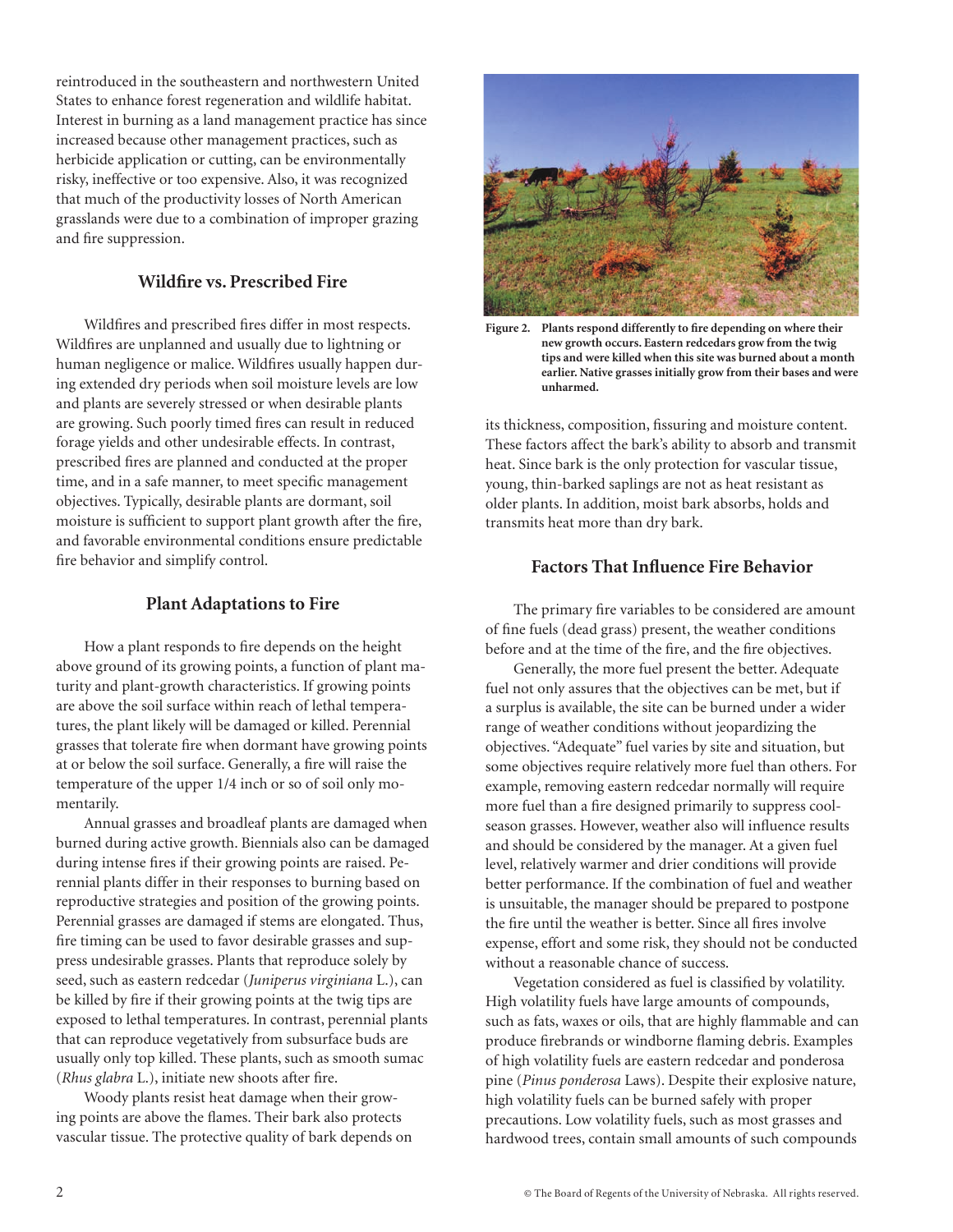reintroduced in the southeastern and northwestern United States to enhance forest regeneration and wildlife habitat. Interest in burning as a land management practice has since increased because other management practices, such as herbicide application or cutting, can be environmentally risky, ineffective or too expensive. Also, it was recognized that much of the productivity losses of North American grasslands were due to a combination of improper grazing and fire suppression.

# **Wildfire vs. Prescribed Fire**

Wildfires and prescribed fires differ in most respects. Wildfires are unplanned and usually due to lightning or human negligence or malice. Wildfires usually happen during extended dry periods when soil moisture levels are low and plants are severely stressed or when desirable plants are growing. Such poorly timed fires can result in reduced forage yields and other undesirable effects. In contrast, prescribed fires are planned and conducted at the proper time, and in a safe manner, to meet specific management objectives. Typically, desirable plants are dormant, soil moisture is sufficient to support plant growth after the fire, and favorable environmental conditions ensure predictable fire behavior and simplify control.

# **Plant Adaptations to Fire**

How a plant responds to fire depends on the height above ground of its growing points, a function of plant maturity and plant-growth characteristics. If growing points are above the soil surface within reach of lethal temperatures, the plant likely will be damaged or killed. Perennial grasses that tolerate fire when dormant have growing points at or below the soil surface. Generally, a fire will raise the temperature of the upper 1/4 inch or so of soil only momentarily.

Annual grasses and broadleaf plants are damaged when burned during active growth. Biennials also can be damaged during intense fires if their growing points are raised. Perennial plants differ in their responses to burning based on reproductive strategies and position of the growing points. Perennial grasses are damaged if stems are elongated. Thus, fire timing can be used to favor desirable grasses and suppress undesirable grasses. Plants that reproduce solely by seed, such as eastern redcedar (*Juniperus virginiana* L.), can be killed by fire if their growing points at the twig tips are exposed to lethal temperatures. In contrast, perennial plants that can reproduce vegetatively from subsurface buds are usually only top killed. These plants, such as smooth sumac (*Rhus glabra* L.), initiate new shoots after fire.

Woody plants resist heat damage when their growing points are above the flames. Their bark also protects vascular tissue. The protective quality of bark depends on



**Figure 2. Plants respond differently to fire depending on where their new growth occurs. Eastern redcedars grow from the twig tips and were killed when this site was burned about a month earlier. Native grasses initially grow from their bases and were unharmed.**

its thickness, composition, fissuring and moisture content. These factors affect the bark's ability to absorb and transmit heat. Since bark is the only protection for vascular tissue, young, thin-barked saplings are not as heat resistant as older plants. In addition, moist bark absorbs, holds and transmits heat more than dry bark.

# **Factors That Influence Fire Behavior**

The primary fire variables to be considered are amount of fine fuels (dead grass) present, the weather conditions before and at the time of the fire, and the fire objectives.

Generally, the more fuel present the better. Adequate fuel not only assures that the objectives can be met, but if a surplus is available, the site can be burned under a wider range of weather conditions without jeopardizing the objectives. "Adequate" fuel varies by site and situation, but some objectives require relatively more fuel than others. For example, removing eastern redcedar normally will require more fuel than a fire designed primarily to suppress coolseason grasses. However, weather also will influence results and should be considered by the manager. At a given fuel level, relatively warmer and drier conditions will provide better performance. If the combination of fuel and weather is unsuitable, the manager should be prepared to postpone the fire until the weather is better. Since all fires involve expense, effort and some risk, they should not be conducted without a reasonable chance of success.

Vegetation considered as fuel is classified by volatility. High volatility fuels have large amounts of compounds, such as fats, waxes or oils, that are highly flammable and can produce firebrands or windborne flaming debris. Examples of high volatility fuels are eastern redcedar and ponderosa pine (*Pinus ponderosa* Laws). Despite their explosive nature, high volatility fuels can be burned safely with proper precautions. Low volatility fuels, such as most grasses and hardwood trees, contain small amounts of such compounds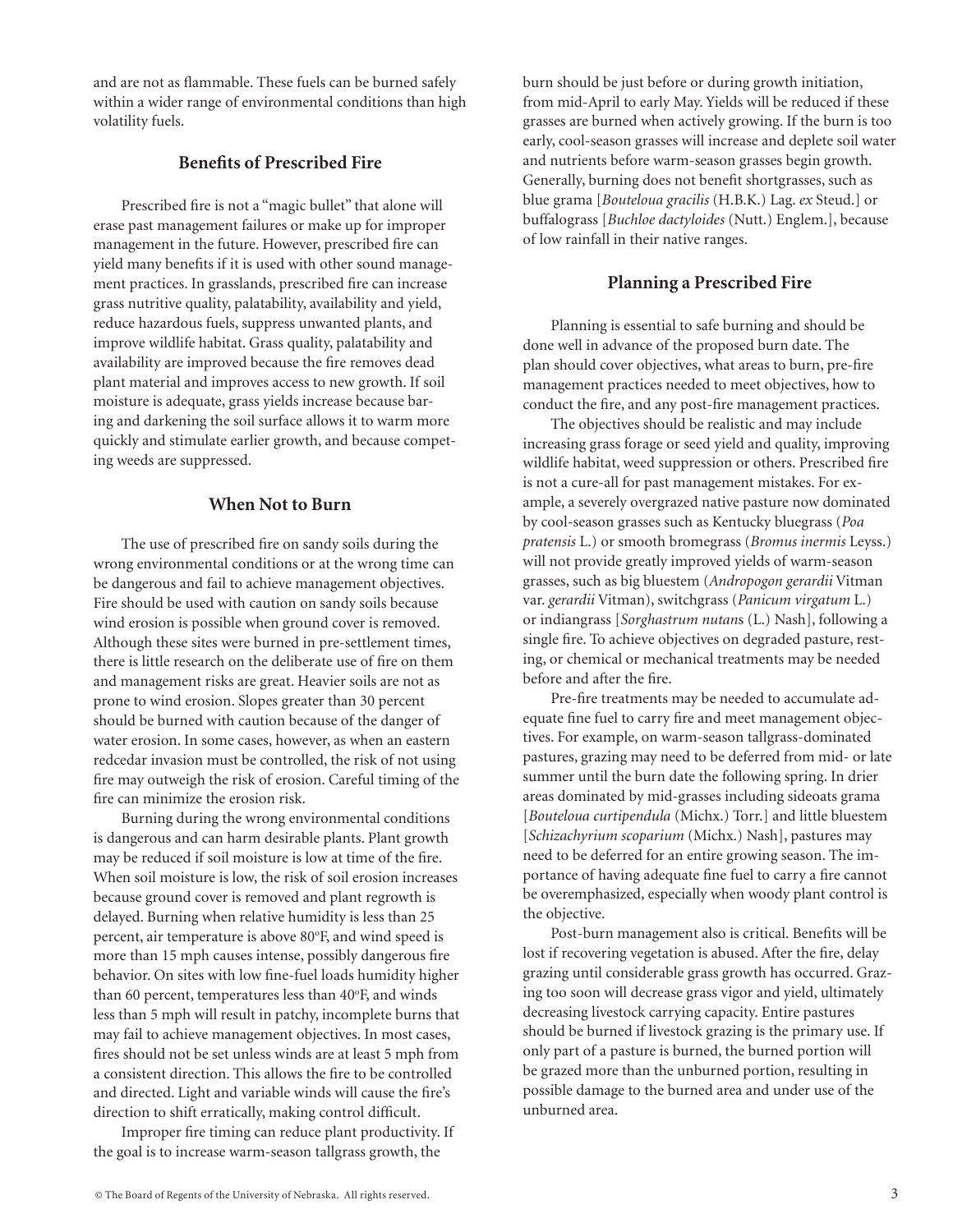and are not as flammable. These fuels can be burned safely within a wider range of environmental conditions than high volatility fuels.

## **Benefits of Prescribed Fire**

Prescribed fire is not a "magic bullet" that alone will erase past management failures or make up for improper management in the future. However, prescribed fire can yield many benefits if it is used with other sound management practices. In grasslands, prescribed fire can increase grass nutritive quality, palatability, availability and yield, reduce hazardous fuels, suppress unwanted plants, and improve wildlife habitat. Grass quality, palatability and availability are improved because the fire removes dead plant material and improves access to new growth. If soil moisture is adequate, grass yields increase because baring and darkening the soil surface allows it to warm more quickly and stimulate earlier growth, and because competing weeds are suppressed.

# **When Not to Burn**

The use of prescribed fire on sandy soils during the wrong environmental conditions or at the wrong time can be dangerous and fail to achieve management objectives. Fire should be used with caution on sandy soils because wind erosion is possible when ground cover is removed. Although these sites were burned in pre-settlement times, there is little research on the deliberate use of fire on them and management risks are great. Heavier soils are not as prone to wind erosion. Slopes greater than 30 percent should be burned with caution because of the danger of water erosion. In some cases, however, as when an eastern redcedar invasion must be controlled, the risk of not using fire may outweigh the risk of erosion. Careful timing of the fire can minimize the erosion risk.

Burning during the wrong environmental conditions is dangerous and can harm desirable plants. Plant growth may be reduced if soil moisture is low at time of the fire. When soil moisture is low, the risk of soil erosion increases because ground cover is removed and plant regrowth is delayed. Burning when relative humidity is less than 25 percent, air temperature is above 80°F, and wind speed is more than 15 mph causes intense, possibly dangerous fire behavior. On sites with low fine-fuel loads humidity higher than 60 percent, temperatures less than 40°F, and winds less than 5 mph will result in patchy, incomplete burns that may fail to achieve management objectives. In most cases, fires should not be set unless winds are at least 5 mph from a consistent direction. This allows the fire to be controlled and directed. Light and variable winds will cause the fire's direction to shift erratically, making control difficult.

Improper fire timing can reduce plant productivity. If the goal is to increase warm-season tallgrass growth, the

burn should be just before or during growth initiation, from mid-April to early May. Yields will be reduced if these grasses are burned when actively growing. If the burn is too early, cool-season grasses will increase and deplete soil water and nutrients before warm-season grasses begin growth. Generally, burning does not benefit shortgrasses, such as blue grama [*Bouteloua gracilis* (H.B.K.) Lag. *ex* Steud.] or buffalograss [*Buchloe dactyloides* (Nutt.) Englem.], because of low rainfall in their native ranges.

#### **Planning a Prescribed Fire**

Planning is essential to safe burning and should be done well in advance of the proposed burn date. The plan should cover objectives, what areas to burn, pre-fire management practices needed to meet objectives, how to conduct the fire, and any post-fire management practices.

The objectives should be realistic and may include increasing grass forage or seed yield and quality, improving wildlife habitat, weed suppression or others. Prescribed fire is not a cure-all for past management mistakes. For example, a severely overgrazed native pasture now dominated by cool-season grasses such as Kentucky bluegrass (*Poa pratensis* L.) or smooth bromegrass (*Bromus inermis* Leyss.) will not provide greatly improved yields of warm-season grasses, such as big bluestem (*Andropogon gerardii* Vitman var. *gerardii* Vitman), switchgrass (*Panicum virgatum* L.) or indiangrass [*Sorghastrum nutan*s (L.) Nash], following a single fire. To achieve objectives on degraded pasture, resting, or chemical or mechanical treatments may be needed before and after the fire.

Pre-fire treatments may be needed to accumulate adequate fine fuel to carry fire and meet management objectives. For example, on warm-season tallgrass-dominated pastures, grazing may need to be deferred from mid- or late summer until the burn date the following spring. In drier areas dominated by mid-grasses including sideoats grama [*Bouteloua curtipendula* (Michx.) Torr.] and little bluestem [*Schizachyrium scoparium* (Michx.) Nash], pastures may need to be deferred for an entire growing season. The importance of having adequate fine fuel to carry a fire cannot be overemphasized, especially when woody plant control is the objective.

Post-burn management also is critical. Benefits will be lost if recovering vegetation is abused. After the fire, delay grazing until considerable grass growth has occurred. Grazing too soon will decrease grass vigor and yield, ultimately decreasing livestock carrying capacity. Entire pastures should be burned if livestock grazing is the primary use. If only part of a pasture is burned, the burned portion will be grazed more than the unburned portion, resulting in possible damage to the burned area and under use of the unburned area.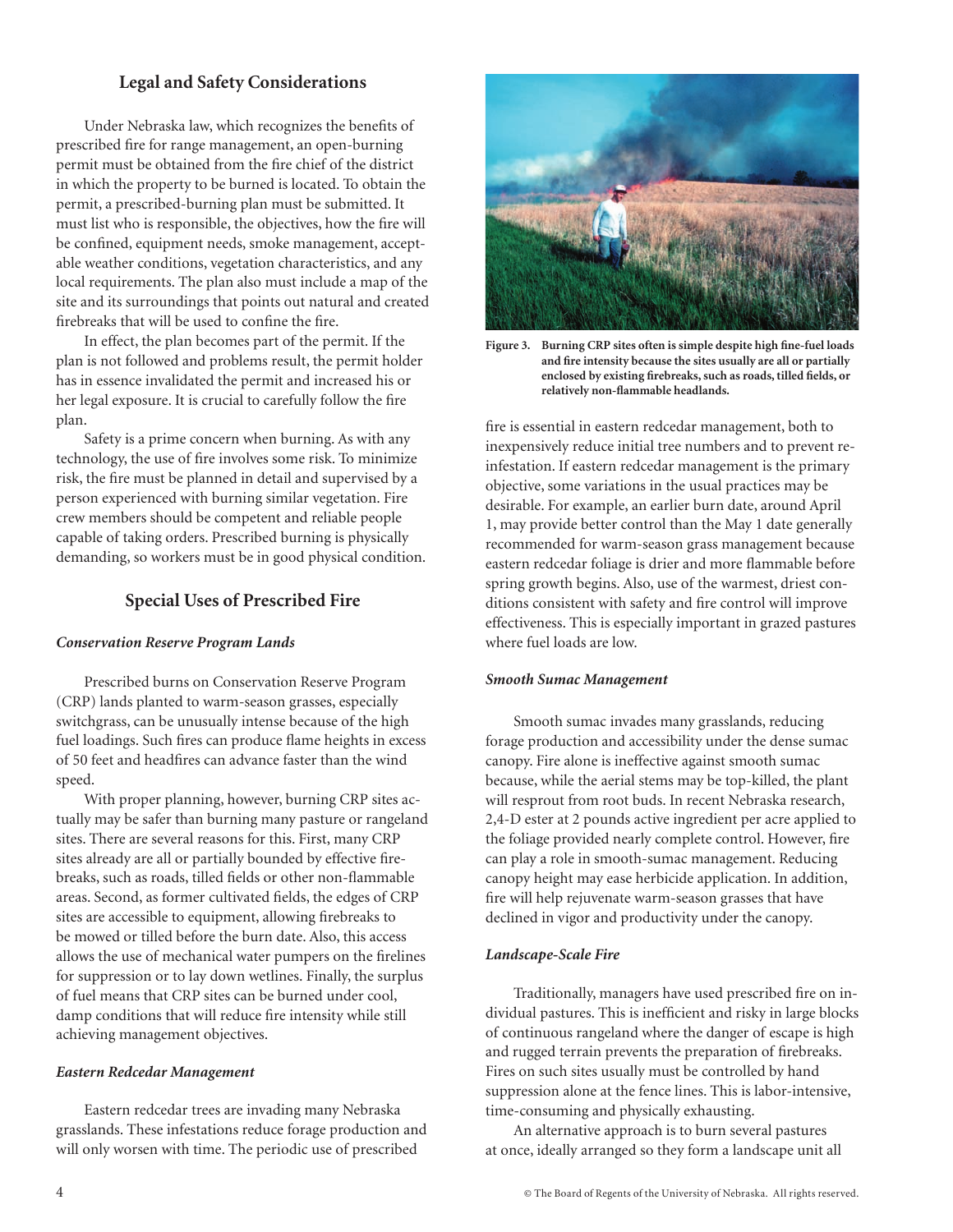# **Legal and Safety Considerations**

Under Nebraska law, which recognizes the benefits of prescribed fire for range management, an open-burning permit must be obtained from the fire chief of the district in which the property to be burned is located. To obtain the permit, a prescribed-burning plan must be submitted. It must list who is responsible, the objectives, how the fire will be confined, equipment needs, smoke management, acceptable weather conditions, vegetation characteristics, and any local requirements. The plan also must include a map of the site and its surroundings that points out natural and created firebreaks that will be used to confine the fire.

In effect, the plan becomes part of the permit. If the plan is not followed and problems result, the permit holder has in essence invalidated the permit and increased his or her legal exposure. It is crucial to carefully follow the fire plan.

Safety is a prime concern when burning. As with any technology, the use of fire involves some risk. To minimize risk, the fire must be planned in detail and supervised by a person experienced with burning similar vegetation. Fire crew members should be competent and reliable people capable of taking orders. Prescribed burning is physically demanding, so workers must be in good physical condition.

## **Special Uses of Prescribed Fire**

#### *Conservation Reserve Program Lands*

Prescribed burns on Conservation Reserve Program (CRP) lands planted to warm-season grasses, especially switchgrass, can be unusually intense because of the high fuel loadings. Such fires can produce flame heights in excess of 50 feet and headfires can advance faster than the wind speed.

With proper planning, however, burning CRP sites actually may be safer than burning many pasture or rangeland sites. There are several reasons for this. First, many CRP sites already are all or partially bounded by effective firebreaks, such as roads, tilled fields or other non-flammableareas. Second, as former cultivated fields, the edges of CRP sites are accessible to equipment, allowing firebreaks to be mowed or tilled before the burn date. Also, this access allows the use of mechanical water pumpers on the firelines for suppression or to lay down wetlines. Finally, the surplus of fuel means that CRP sites can be burned under cool, damp conditions that will reduce fire intensity while still achieving management objectives.

#### *Eastern Redcedar Management*

Eastern redcedar trees are invading many Nebraska grasslands. These infestations reduce forage production and will only worsen with time. The periodic use of prescribed



**Figure 3. Burning CRP sites often is simple despite high fine-fuel loads and fire intensity because the sites usually are all or partially enclosed by existing firebreaks, such as roads, tilled fields, or relatively non-flammable headlands.**

fire is essential in eastern redcedar management, both to inexpensively reduce initial tree numbers and to prevent reinfestation. If eastern redcedar management is the primary objective, some variations in the usual practices may be desirable. For example, an earlier burn date, around April 1, may provide better control than the May 1 date generally recommended for warm-season grass management because eastern redcedar foliage is drier and more flammable before spring growth begins. Also, use of the warmest, driest conditions consistent with safety and fire control will improve effectiveness. This is especially important in grazed pastures where fuel loads are low.

#### *Smooth Sumac Management*

Smooth sumac invades many grasslands, reducing forage production and accessibility under the dense sumac canopy. Fire alone is ineffective against smooth sumac because, while the aerial stems may be top-killed, the plant will resprout from root buds. In recent Nebraska research, 2,4-D ester at 2 pounds active ingredient per acre applied to the foliage provided nearly complete control. However, fire can play a role in smooth-sumac management. Reducing canopy height may ease herbicide application. In addition, fire will help rejuvenate warm-season grasses that have declined in vigor and productivity under the canopy.

#### *Landscape-Scale Fire*

Traditionally, managers have used prescribed fire on individual pastures. This is inefficient and risky in large blocks of continuous rangeland where the danger of escape is high and rugged terrain prevents the preparation of firebreaks. Fires on such sites usually must be controlled by hand suppression alone at the fence lines. This is labor-intensive, time-consuming and physically exhausting.

An alternative approach is to burn several pastures at once, ideally arranged so they form a landscape unit all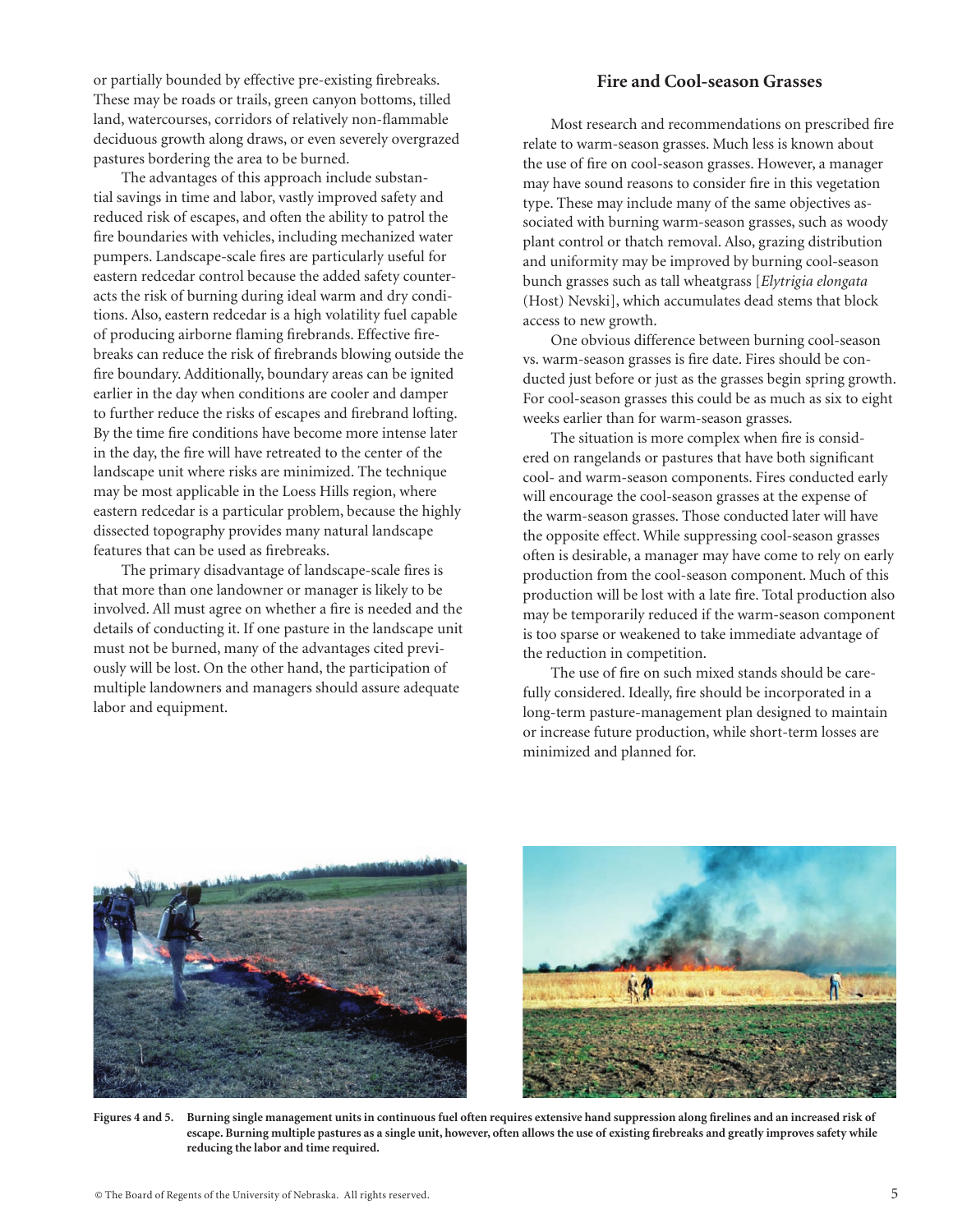or partially bounded by effective pre-existing firebreaks. These may be roads or trails, green canyon bottoms, tilled land, watercourses, corridors of relatively non-flammable deciduous growth along draws, or even severely overgrazed pastures bordering the area to be burned.

The advantages of this approach include substantial savings in time and labor, vastly improved safety and reduced risk of escapes, and often the ability to patrol the fire boundaries with vehicles, including mechanized water pumpers. Landscape-scale fires are particularly useful for eastern redcedar control because the added safety counteracts the risk of burning during ideal warm and dry conditions. Also, eastern redcedar is a high volatility fuel capable of producing airborne flaming firebrands. Effective firebreaks can reduce the risk of firebrands blowing outside the fire boundary. Additionally, boundary areas can be ignited earlier in the day when conditions are cooler and damper to further reduce the risks of escapes and firebrand lofting. By the time fire conditions have become more intense later in the day, the fire will have retreated to the center of the landscape unit where risks are minimized. The technique may be most applicable in the Loess Hills region, where eastern redcedar is a particular problem, because the highly dissected topography provides many natural landscape features that can be used as firebreaks.

The primary disadvantage of landscape-scale fires is that more than one landowner or manager is likely to be involved. All must agree on whether a fire is needed and the details of conducting it. If one pasture in the landscape unit must not be burned, many of the advantages cited previously will be lost. On the other hand, the participation of multiple landowners and managers should assure adequate labor and equipment.

### **Fire and Cool-season Grasses**

Most research and recommendations on prescribed fire relate to warm-season grasses. Much less is known about the use of fire on cool-season grasses. However, a manager may have sound reasons to consider fire in this vegetation type. These may include many of the same objectives associated with burning warm-season grasses, such as woody plant control or thatch removal. Also, grazing distribution and uniformity may be improved by burning cool-season bunch grasses such as tall wheatgrass [*Elytrigia elongata* (Host) Nevski], which accumulates dead stems that block access to new growth.

One obvious difference between burning cool-season vs. warm-season grasses is fire date. Fires should be conducted just before or just as the grasses begin spring growth. For cool-season grasses this could be as much as six to eight weeks earlier than for warm-season grasses.

The situation is more complex when fire is considered on rangelands or pastures that have both significant cool- and warm-season components. Fires conducted early will encourage the cool-season grasses at the expense of the warm-season grasses. Those conducted later will have the opposite effect. While suppressing cool-season grasses often is desirable, a manager may have come to rely on early production from the cool-season component. Much of this production will be lost with a late fire. Total production also may be temporarily reduced if the warm-season component is too sparse or weakened to take immediate advantage of the reduction in competition.

The use of fire on such mixed stands should be carefully considered. Ideally, fire should be incorporated in a long-term pasture-management plan designed to maintain or increase future production, while short-term losses are minimized and planned for.





**Figures 4 and 5. Burning single management units in continuous fuel often requires extensive hand suppression along firelines and an increased risk of escape. Burning multiple pastures as a single unit, however, often allows the use of existing firebreaks and greatly improves safety while reducing the labor and time required.**